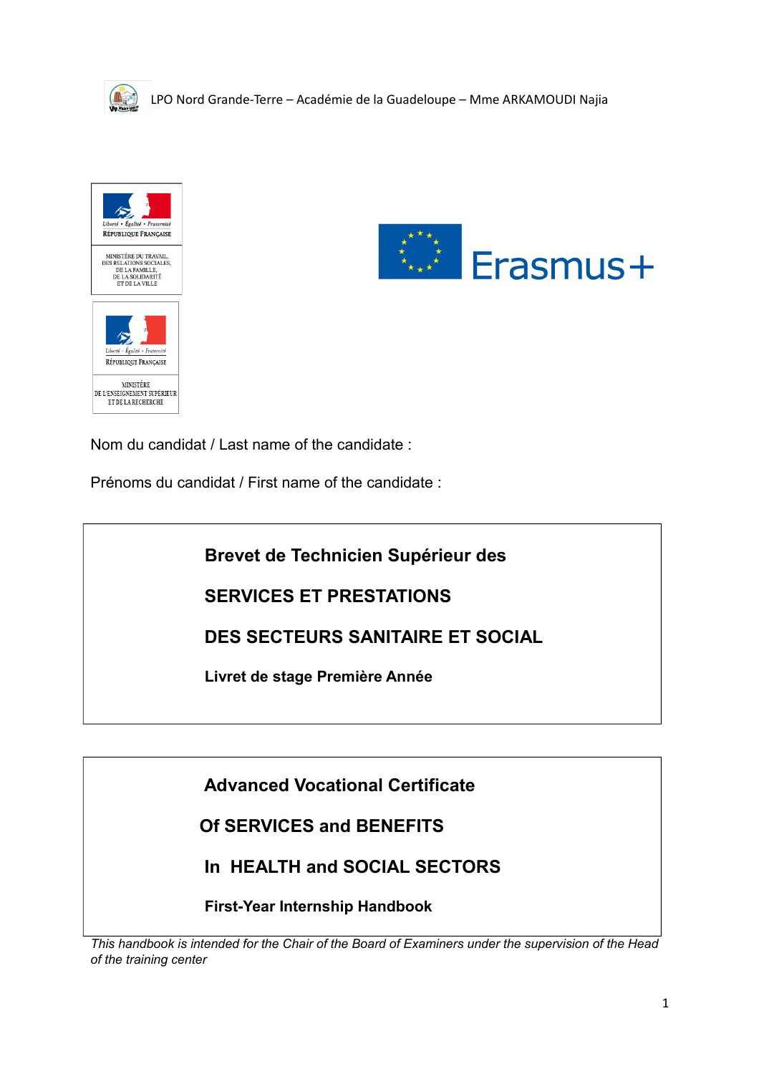





Nom du candidat / Last name of the candidate :

Prénoms du candidat / First name of the candidate :

 **Brevet de Technicien Supérieur des**

 **SERVICES ET PRESTATIONS**

 **DES SECTEURS SANITAIRE ET SOCIAL**

 **Livret de stage Première Année**

 **Advanced Vocational Certificate**

 **Of SERVICES and BENEFITS** 

 **In HEALTH and SOCIAL SECTORS**

 **First-Year Internship Handbook**

*This handbook is intended for the Chair of the Board of Examiners under the supervision of the Head of the training center*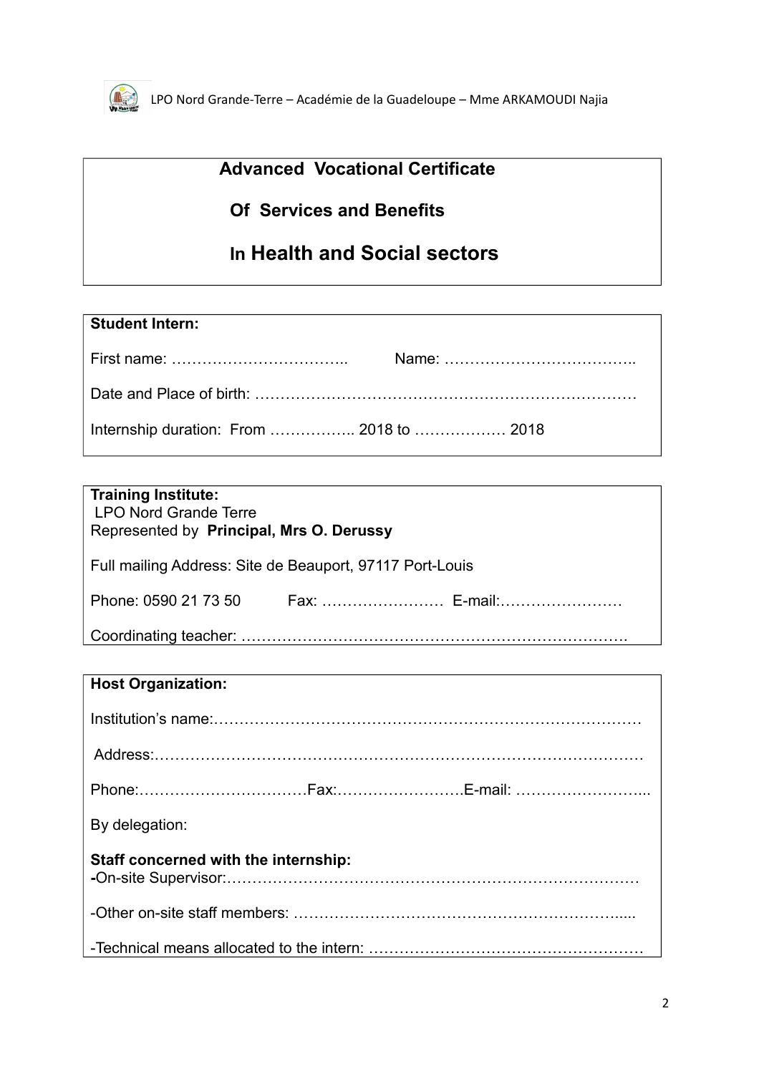

# **Advanced Vocational Certificate**

# **Of Services and Benefits**

# **In Health and Social sectors**

| <b>Student Intern:</b>                   |  |
|------------------------------------------|--|
|                                          |  |
|                                          |  |
| Internship duration: From  2018 to  2018 |  |

| <b>Training Institute:</b><br><b>LPO Nord Grande Terre</b><br>Represented by Principal, Mrs O. Derussy |  |
|--------------------------------------------------------------------------------------------------------|--|
| Full mailing Address: Site de Beauport, 97117 Port-Louis                                               |  |
|                                                                                                        |  |
|                                                                                                        |  |

| <b>Host Organization:</b>            |
|--------------------------------------|
|                                      |
|                                      |
|                                      |
| By delegation:                       |
| Staff concerned with the internship: |
|                                      |
|                                      |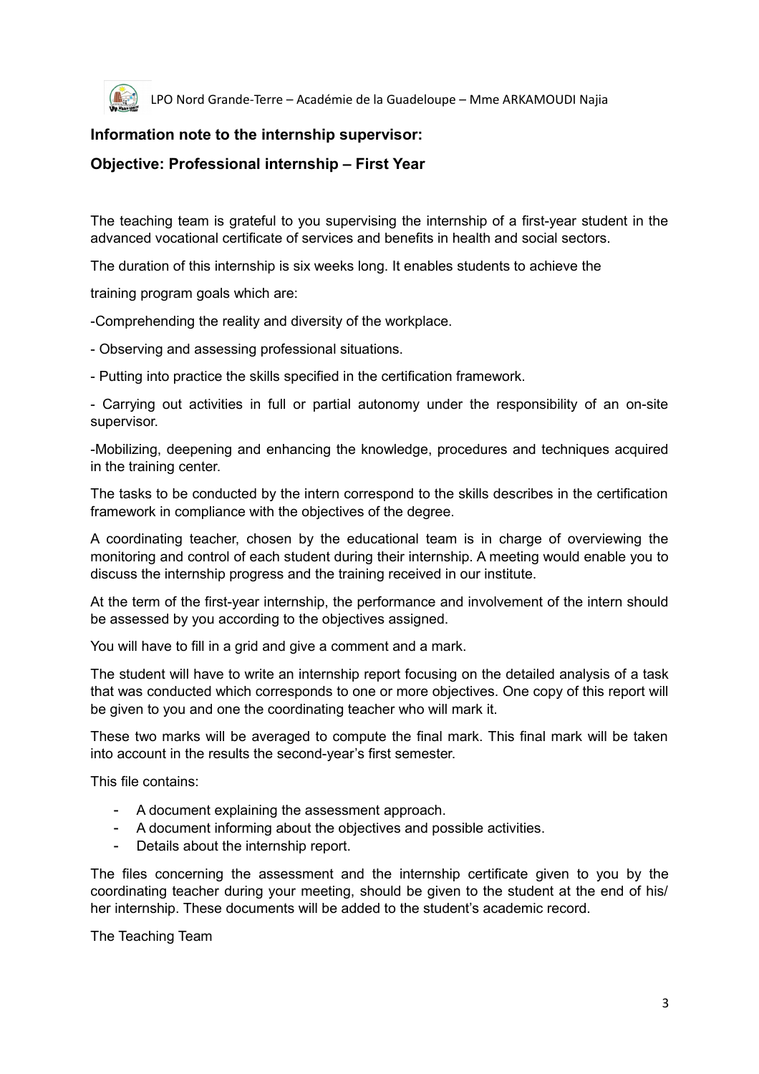

### **Information note to the internship supervisor:**

### **Objective: Professional internship – First Year**

The teaching team is grateful to you supervising the internship of a first-year student in the advanced vocational certificate of services and benefits in health and social sectors.

The duration of this internship is six weeks long. It enables students to achieve the

training program goals which are:

-Comprehending the reality and diversity of the workplace.

- Observing and assessing professional situations.

- Putting into practice the skills specified in the certification framework.

- Carrying out activities in full or partial autonomy under the responsibility of an on-site supervisor.

-Mobilizing, deepening and enhancing the knowledge, procedures and techniques acquired in the training center.

The tasks to be conducted by the intern correspond to the skills describes in the certification framework in compliance with the objectives of the degree.

A coordinating teacher, chosen by the educational team is in charge of overviewing the monitoring and control of each student during their internship. A meeting would enable you to discuss the internship progress and the training received in our institute.

At the term of the first-year internship, the performance and involvement of the intern should be assessed by you according to the objectives assigned.

You will have to fill in a grid and give a comment and a mark.

The student will have to write an internship report focusing on the detailed analysis of a task that was conducted which corresponds to one or more objectives. One copy of this report will be given to you and one the coordinating teacher who will mark it.

These two marks will be averaged to compute the final mark. This final mark will be taken into account in the results the second-year's first semester.

This file contains:

- A document explaining the assessment approach.
- A document informing about the objectives and possible activities.
- Details about the internship report.

The files concerning the assessment and the internship certificate given to you by the coordinating teacher during your meeting, should be given to the student at the end of his/ her internship. These documents will be added to the student's academic record.

The Teaching Team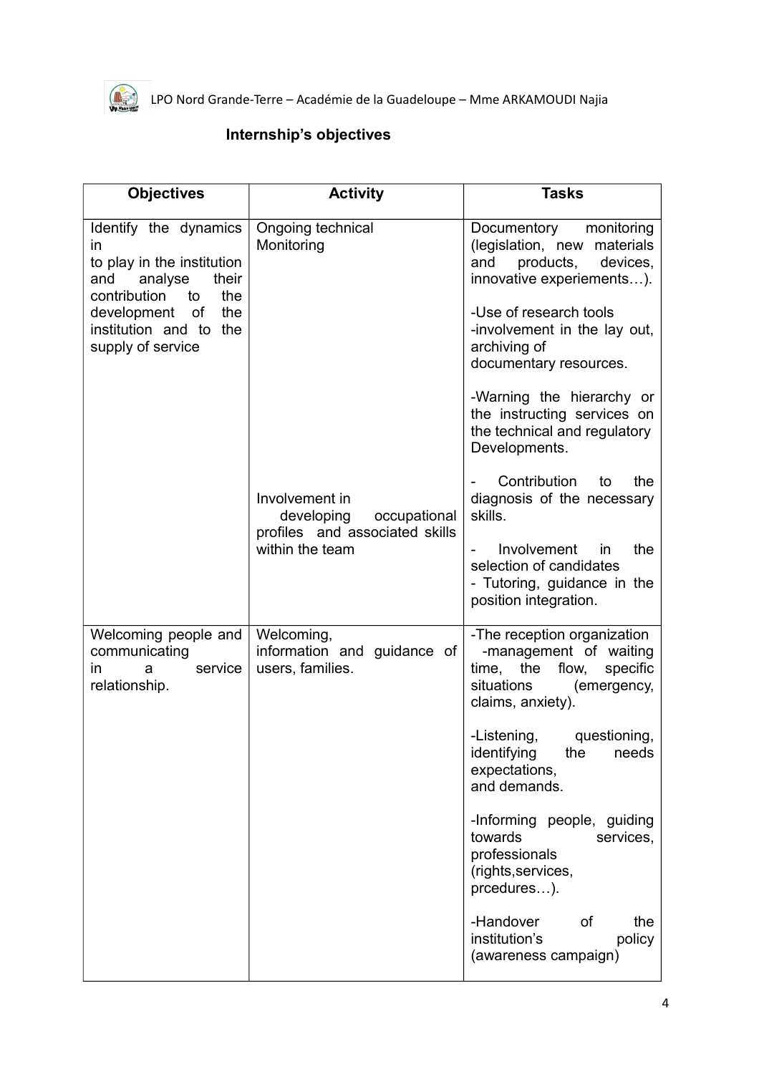

## **Internship's objectives**

| <b>Objectives</b>                                                                                                                                                                         | <b>Activity</b>                                                                                   | <b>Tasks</b>                                                                                                                                                                                                              |
|-------------------------------------------------------------------------------------------------------------------------------------------------------------------------------------------|---------------------------------------------------------------------------------------------------|---------------------------------------------------------------------------------------------------------------------------------------------------------------------------------------------------------------------------|
| Identify the dynamics<br>in<br>to play in the institution<br>analyse<br>their<br>and<br>contribution<br>the<br>to<br>development of<br>the<br>institution and to the<br>supply of service | Ongoing technical<br>Monitoring                                                                   | monitoring<br>Documentory<br>(legislation, new materials<br>products,<br>and<br>devices,<br>innovative experiements).<br>-Use of research tools<br>-involvement in the lay out,<br>archiving of<br>documentary resources. |
|                                                                                                                                                                                           | Involvement in<br>developing<br>occupational<br>profiles and associated skills<br>within the team | -Warning the hierarchy or<br>the instructing services on<br>the technical and regulatory<br>Developments.<br>Contribution<br>to<br>the<br>diagnosis of the necessary<br>skills.<br>Involvement<br>in<br>the               |
|                                                                                                                                                                                           |                                                                                                   | selection of candidates<br>- Tutoring, guidance in the<br>position integration.                                                                                                                                           |
| Welcoming people and<br>communicating<br>service<br>in.<br>a<br>relationship.                                                                                                             | Welcoming,<br>information and guidance of<br>users, families.                                     | -The reception organization<br>-management of waiting<br>time, the flow,<br>specific<br>situations<br>(emergency,<br>claims, anxiety).                                                                                    |
|                                                                                                                                                                                           |                                                                                                   | questioning,<br>-Listening,<br>identifying the needs<br>expectations,<br>and demands.                                                                                                                                     |
|                                                                                                                                                                                           |                                                                                                   | -Informing people, guiding<br>towards<br>services,<br>professionals<br>(rights, services,<br>prcedures).                                                                                                                  |
|                                                                                                                                                                                           |                                                                                                   | -Handover<br>of<br>the<br>institution's<br>policy<br>(awareness campaign)                                                                                                                                                 |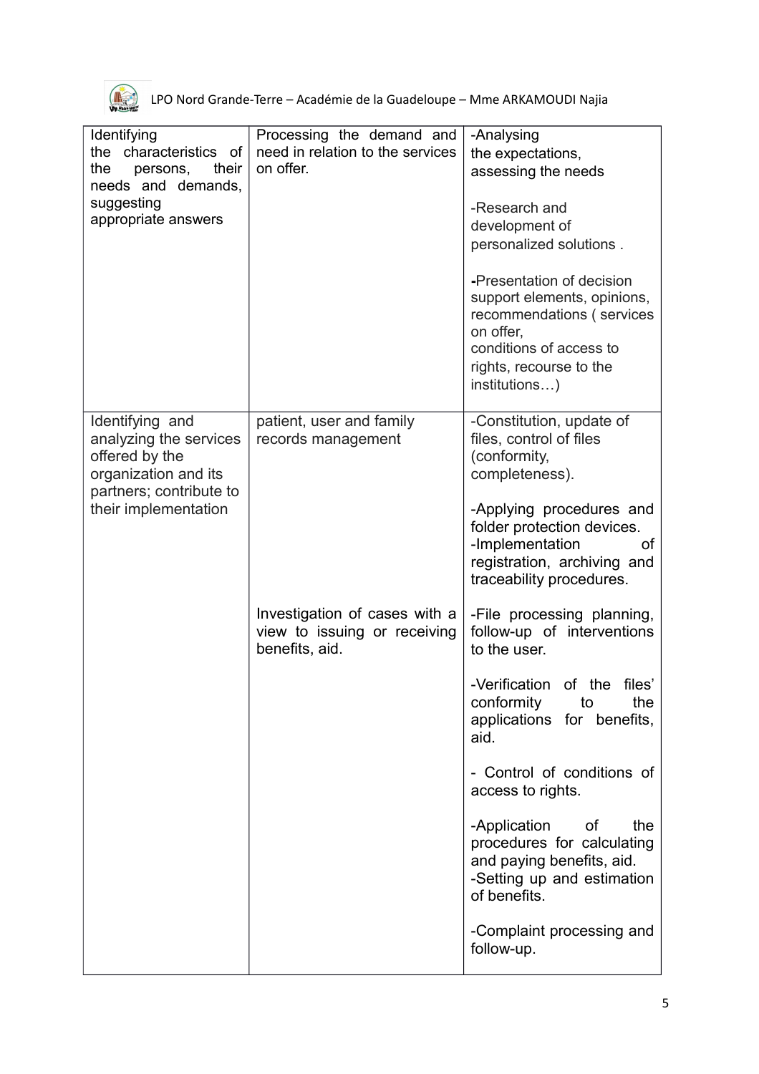

| Identifying<br>the characteristics of<br>their<br>the<br>persons,<br>needs and demands,<br>suggesting<br>appropriate answers           | Processing the demand and<br>need in relation to the services<br>on offer.      | -Analysing<br>the expectations,<br>assessing the needs<br>-Research and<br>development of<br>personalized solutions.                                                      |
|----------------------------------------------------------------------------------------------------------------------------------------|---------------------------------------------------------------------------------|---------------------------------------------------------------------------------------------------------------------------------------------------------------------------|
|                                                                                                                                        |                                                                                 | -Presentation of decision<br>support elements, opinions,<br>recommendations (services<br>on offer,<br>conditions of access to<br>rights, recourse to the<br>institutions) |
| Identifying and<br>analyzing the services<br>offered by the<br>organization and its<br>partners; contribute to<br>their implementation | patient, user and family<br>records management                                  | -Constitution, update of<br>files, control of files<br>(conformity,<br>completeness).                                                                                     |
|                                                                                                                                        |                                                                                 | -Applying procedures and<br>folder protection devices.<br>-Implementation<br>οt<br>registration, archiving and<br>traceability procedures.                                |
|                                                                                                                                        | Investigation of cases with a<br>view to issuing or receiving<br>benefits, aid. | -File processing planning,<br>follow-up of interventions<br>to the user.                                                                                                  |
|                                                                                                                                        |                                                                                 | -Verification of the files'<br>conformity<br>the<br>to<br>applications for benefits,<br>aid.                                                                              |
|                                                                                                                                        |                                                                                 | - Control of conditions of<br>access to rights.                                                                                                                           |
|                                                                                                                                        |                                                                                 | -Application<br>of<br>the<br>procedures for calculating<br>and paying benefits, aid.<br>-Setting up and estimation<br>of benefits.                                        |
|                                                                                                                                        |                                                                                 | -Complaint processing and<br>follow-up.                                                                                                                                   |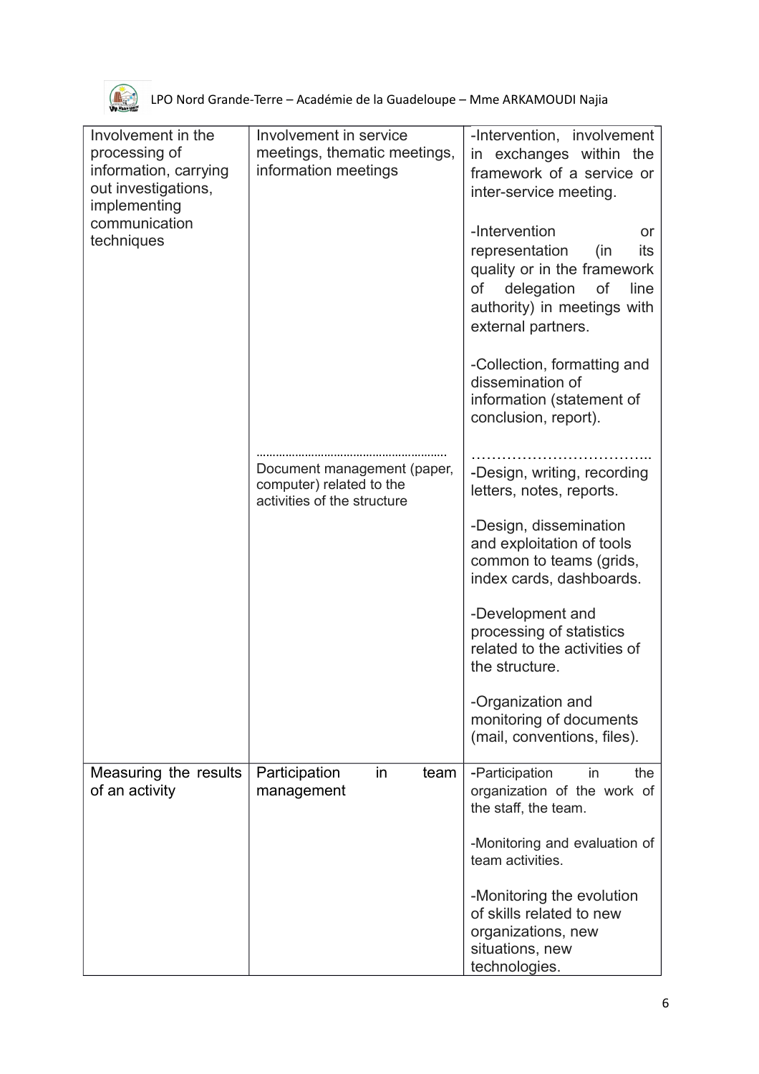

| Involvement in the<br>processing of<br>information, carrying<br>out investigations,<br>implementing | Involvement in service<br>meetings, thematic meetings,<br>information meetings         | -Intervention, involvement<br>in exchanges within the<br>framework of a service or<br>inter-service meeting.                                                              |
|-----------------------------------------------------------------------------------------------------|----------------------------------------------------------------------------------------|---------------------------------------------------------------------------------------------------------------------------------------------------------------------------|
| communication<br>techniques                                                                         |                                                                                        | -Intervention<br>or<br>representation<br>(in<br>its<br>quality or in the framework<br>of<br>delegation<br>of<br>line<br>authority) in meetings with<br>external partners. |
|                                                                                                     |                                                                                        | -Collection, formatting and<br>dissemination of<br>information (statement of<br>conclusion, report).                                                                      |
|                                                                                                     | Document management (paper,<br>computer) related to the<br>activities of the structure | -Design, writing, recording<br>letters, notes, reports.                                                                                                                   |
|                                                                                                     |                                                                                        | -Design, dissemination<br>and exploitation of tools<br>common to teams (grids,<br>index cards, dashboards.                                                                |
|                                                                                                     |                                                                                        | -Development and<br>processing of statistics<br>related to the activities of<br>the structure.                                                                            |
|                                                                                                     |                                                                                        | -Organization and<br>monitoring of documents<br>(mail, conventions, files).                                                                                               |
| Measuring the results<br>of an activity                                                             | Participation<br>in<br>team<br>management                                              | -Participation<br>the<br>in<br>organization of the work of<br>the staff, the team.                                                                                        |
|                                                                                                     |                                                                                        | -Monitoring and evaluation of<br>team activities.                                                                                                                         |
|                                                                                                     |                                                                                        | -Monitoring the evolution<br>of skills related to new<br>organizations, new<br>situations, new<br>technologies.                                                           |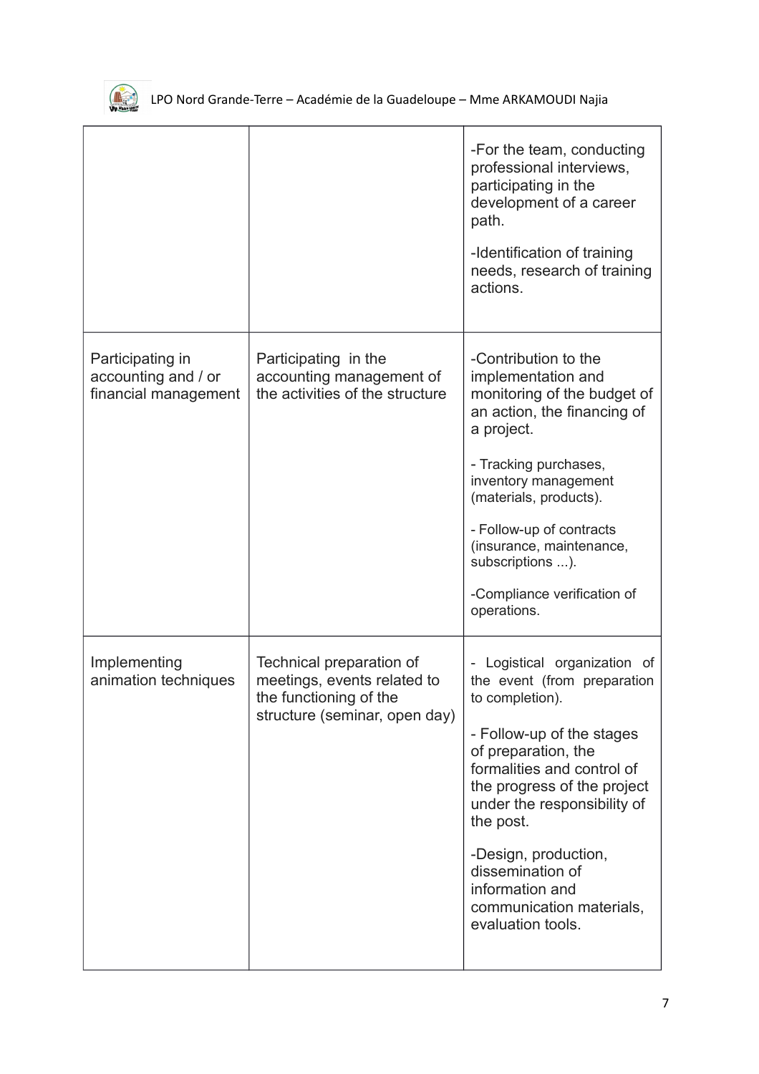

|                                                                 |                                                                                                                    | -For the team, conducting<br>professional interviews,<br>participating in the<br>development of a career<br>path.<br>-Identification of training<br>needs, research of training<br>actions.                                                                                                                                                                 |
|-----------------------------------------------------------------|--------------------------------------------------------------------------------------------------------------------|-------------------------------------------------------------------------------------------------------------------------------------------------------------------------------------------------------------------------------------------------------------------------------------------------------------------------------------------------------------|
| Participating in<br>accounting and / or<br>financial management | Participating in the<br>accounting management of<br>the activities of the structure                                | -Contribution to the<br>implementation and<br>monitoring of the budget of<br>an action, the financing of<br>a project.<br>- Tracking purchases,<br>inventory management<br>(materials, products).<br>- Follow-up of contracts<br>(insurance, maintenance,<br>subscriptions ).<br>-Compliance verification of<br>operations.                                 |
| Implementing<br>animation techniques                            | Technical preparation of<br>meetings, events related to<br>the functioning of the<br>structure (seminar, open day) | - Logistical organization of<br>the event (from preparation<br>to completion).<br>- Follow-up of the stages<br>of preparation, the<br>formalities and control of<br>the progress of the project<br>under the responsibility of<br>the post.<br>-Design, production,<br>dissemination of<br>information and<br>communication materials,<br>evaluation tools. |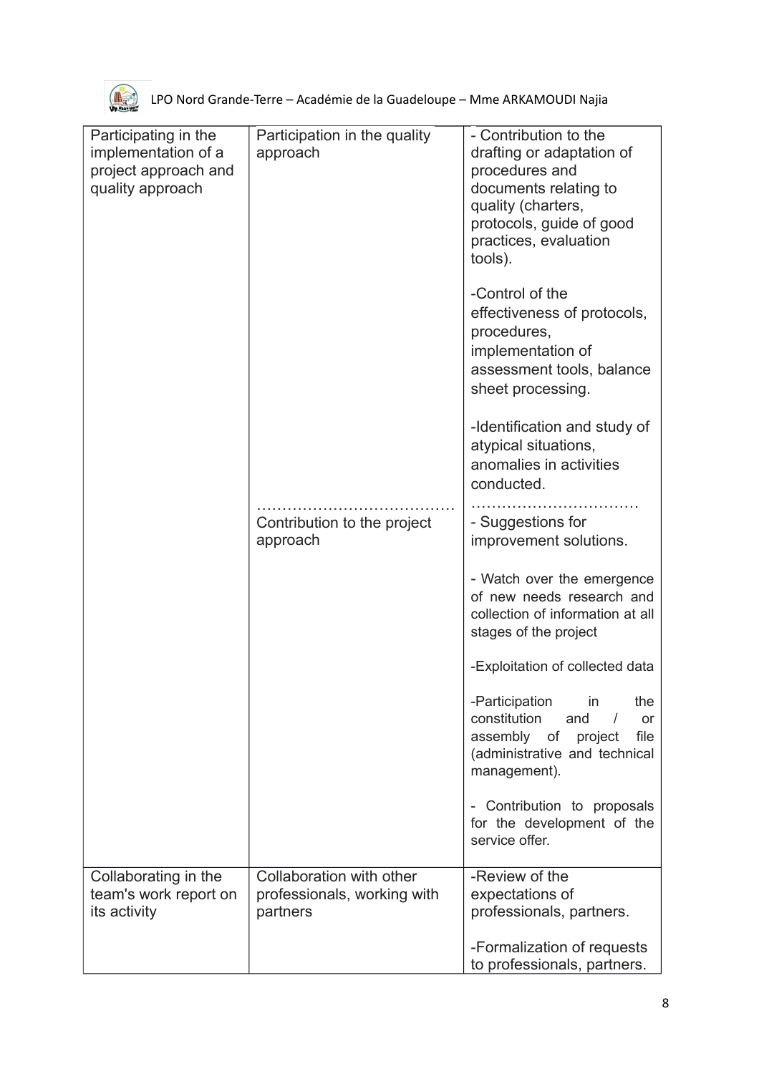

| Participating in the<br>implementation of a<br>project approach and<br>quality approach | Participation in the quality<br>approach<br>Contribution to the project<br>approach | - Contribution to the<br>drafting or adaptation of<br>procedures and<br>documents relating to<br>quality (charters,<br>protocols, guide of good<br>practices, evaluation<br>tools).<br>-Control of the<br>effectiveness of protocols,<br>procedures,<br>implementation of<br>assessment tools, balance<br>sheet processing.<br>-Identification and study of<br>atypical situations,<br>anomalies in activities<br>conducted.<br>- Suggestions for<br>improvement solutions.<br>- Watch over the emergence<br>of new needs research and<br>collection of information at all<br>stages of the project<br>-Exploitation of collected data<br>-Participation<br>the<br>in<br>constitution<br>and<br>or<br>file<br>assembly of<br>project<br>(administrative and technical<br>management).<br>- Contribution to proposals<br>for the development of the<br>service offer. |
|-----------------------------------------------------------------------------------------|-------------------------------------------------------------------------------------|----------------------------------------------------------------------------------------------------------------------------------------------------------------------------------------------------------------------------------------------------------------------------------------------------------------------------------------------------------------------------------------------------------------------------------------------------------------------------------------------------------------------------------------------------------------------------------------------------------------------------------------------------------------------------------------------------------------------------------------------------------------------------------------------------------------------------------------------------------------------|
| Collaborating in the<br>team's work report on<br>its activity                           | Collaboration with other<br>professionals, working with<br>partners                 | -Review of the<br>expectations of<br>professionals, partners.<br>-Formalization of requests<br>to professionals, partners.                                                                                                                                                                                                                                                                                                                                                                                                                                                                                                                                                                                                                                                                                                                                           |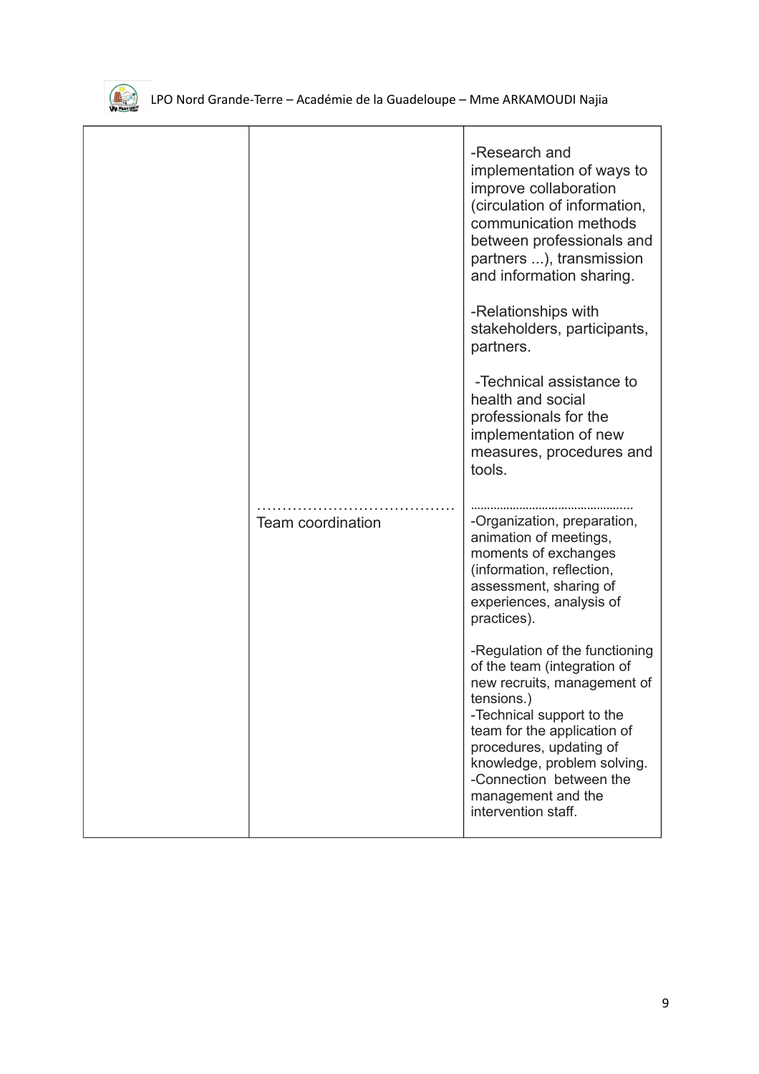

|                          | -Research and<br>implementation of ways to<br>improve collaboration<br>(circulation of information,<br>communication methods<br>between professionals and<br>partners ), transmission<br>and information sharing.                                                                                        |
|--------------------------|----------------------------------------------------------------------------------------------------------------------------------------------------------------------------------------------------------------------------------------------------------------------------------------------------------|
|                          | -Relationships with<br>stakeholders, participants,<br>partners.                                                                                                                                                                                                                                          |
|                          | -Technical assistance to<br>health and social<br>professionals for the<br>implementation of new<br>measures, procedures and<br>tools.                                                                                                                                                                    |
| <b>Team coordination</b> | -Organization, preparation,<br>animation of meetings,<br>moments of exchanges<br>(information, reflection,<br>assessment, sharing of<br>experiences, analysis of<br>practices).                                                                                                                          |
|                          | -Regulation of the functioning<br>of the team (integration of<br>new recruits, management of<br>tensions.)<br>-Technical support to the<br>team for the application of<br>procedures, updating of<br>knowledge, problem solving.<br>-Connection between the<br>management and the<br>intervention staff. |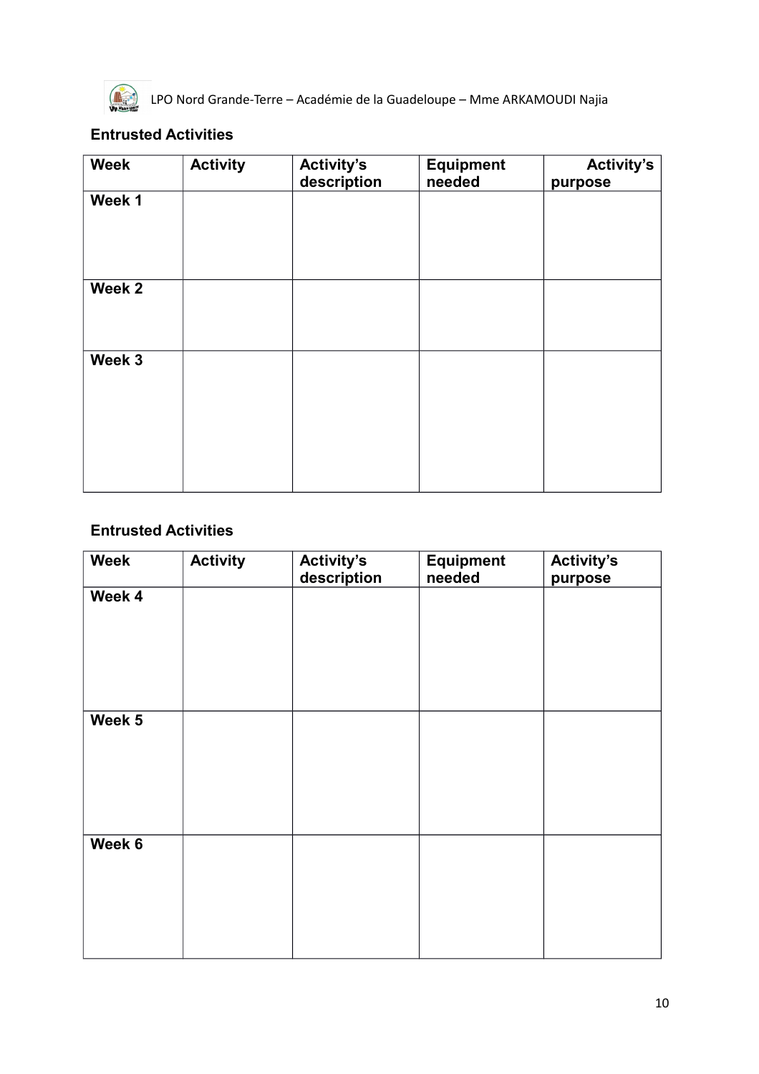

### **Entrusted Activities**

| <b>Week</b> | <b>Activity</b> | <b>Activity's</b><br>description | <b>Equipment</b><br>needed | <b>Activity's</b><br>purpose |
|-------------|-----------------|----------------------------------|----------------------------|------------------------------|
| Week 1      |                 |                                  |                            |                              |
| Week 2      |                 |                                  |                            |                              |
| Week 3      |                 |                                  |                            |                              |

### **Entrusted Activities**

| <b>Week</b> | <b>Activity</b> | <b>Activity's</b><br>description | <b>Equipment</b><br>needed | <b>Activity's</b><br>purpose |
|-------------|-----------------|----------------------------------|----------------------------|------------------------------|
| Week 4      |                 |                                  |                            |                              |
|             |                 |                                  |                            |                              |
|             |                 |                                  |                            |                              |
|             |                 |                                  |                            |                              |
| Week 5      |                 |                                  |                            |                              |
|             |                 |                                  |                            |                              |
|             |                 |                                  |                            |                              |
|             |                 |                                  |                            |                              |
| Week 6      |                 |                                  |                            |                              |
|             |                 |                                  |                            |                              |
|             |                 |                                  |                            |                              |
|             |                 |                                  |                            |                              |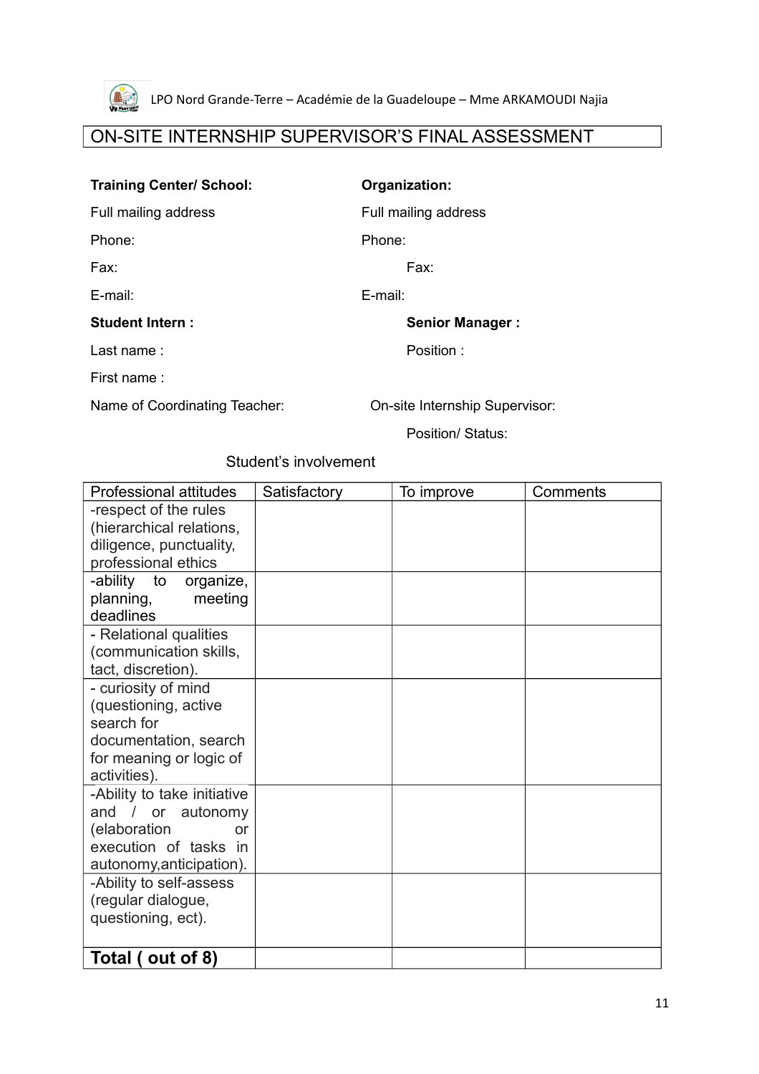

# ON-SITE INTERNSHIP SUPERVISOR'S FINAL ASSESSMENT

### **Training Center/ School: Organization:**

Full mailing address Full mailing address

Phone: Phone: Phone: Phone: Phone: Phone: Phone: Phone: Phone: Phone: Phone: Phone: Phone: Phone: Phone: Phone: Phone: Phone: Phone: Phone: Phone: Phone: Phone: Phone: Phone: Phone: Phone: Phone: Phone: Phone: Phone: Phone

Fax: Fax:

E-mail: E-mail:

#### **Student Intern : Senior Manager :**

Last name : Position :

First name :

Name of Coordinating Teacher: On-site Internship Supervisor:

Position/ Status:

### Student's involvement

| Professional attitudes      | Satisfactory | To improve | Comments |
|-----------------------------|--------------|------------|----------|
| -respect of the rules       |              |            |          |
| (hierarchical relations,    |              |            |          |
| diligence, punctuality,     |              |            |          |
| professional ethics         |              |            |          |
| -ability to organize,       |              |            |          |
| planning,<br>meeting        |              |            |          |
| deadlines                   |              |            |          |
| - Relational qualities      |              |            |          |
| (communication skills,      |              |            |          |
| tact, discretion).          |              |            |          |
| - curiosity of mind         |              |            |          |
| (questioning, active        |              |            |          |
| search for                  |              |            |          |
| documentation, search       |              |            |          |
| for meaning or logic of     |              |            |          |
| activities).                |              |            |          |
| -Ability to take initiative |              |            |          |
| and / or autonomy           |              |            |          |
| (elaboration<br>or          |              |            |          |
| execution of tasks in       |              |            |          |
| autonomy, anticipation).    |              |            |          |
| -Ability to self-assess     |              |            |          |
| (regular dialogue,          |              |            |          |
| questioning, ect).          |              |            |          |
|                             |              |            |          |
| Total (out of 8)            |              |            |          |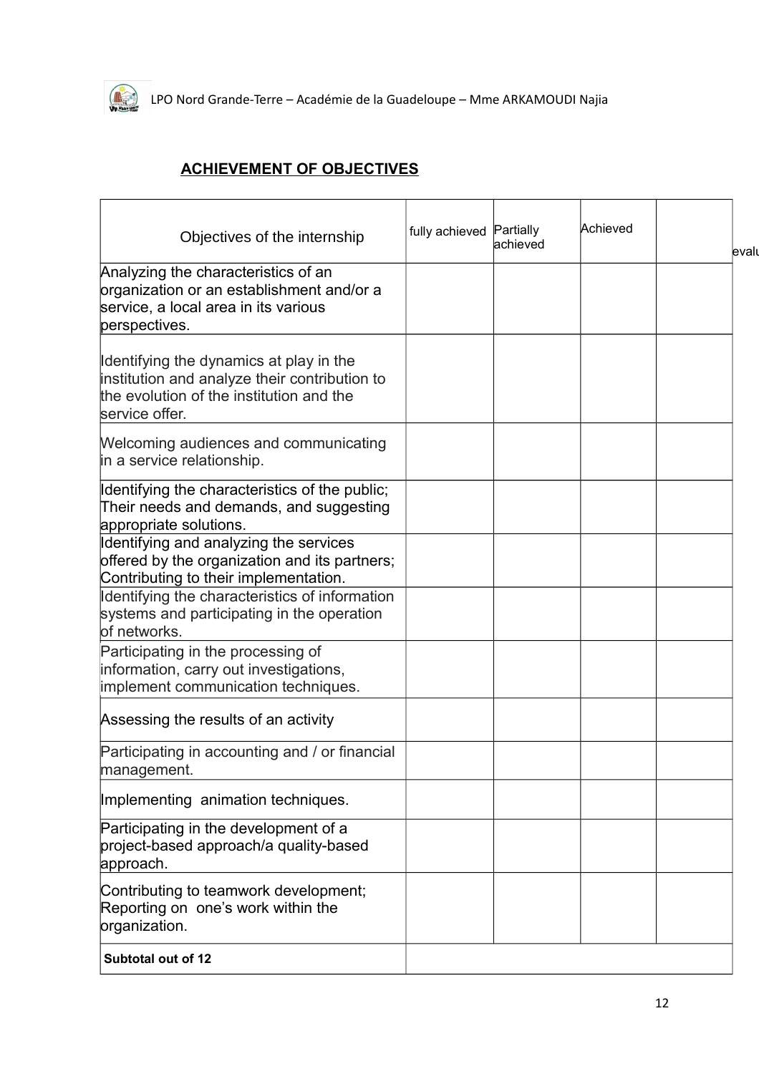

## **ACHIEVEMENT OF OBJECTIVES**

| Objectives of the internship                                                                                                                           | fully achieved Partially | achieved | Achieved | evalu |
|--------------------------------------------------------------------------------------------------------------------------------------------------------|--------------------------|----------|----------|-------|
| Analyzing the characteristics of an<br>organization or an establishment and/or a<br>service, a local area in its various<br>perspectives.              |                          |          |          |       |
| Identifying the dynamics at play in the<br>institution and analyze their contribution to<br>the evolution of the institution and the<br>service offer. |                          |          |          |       |
| Welcoming audiences and communicating<br>in a service relationship.                                                                                    |                          |          |          |       |
| Identifying the characteristics of the public;<br>Their needs and demands, and suggesting<br>appropriate solutions.                                    |                          |          |          |       |
| Identifying and analyzing the services<br>offered by the organization and its partners;<br>Contributing to their implementation.                       |                          |          |          |       |
| Identifying the characteristics of information<br>systems and participating in the operation<br>of networks.                                           |                          |          |          |       |
| Participating in the processing of<br>information, carry out investigations,<br>implement communication techniques.                                    |                          |          |          |       |
| Assessing the results of an activity                                                                                                                   |                          |          |          |       |
| Participating in accounting and / or financial<br>management.                                                                                          |                          |          |          |       |
| Implementing animation techniques.                                                                                                                     |                          |          |          |       |
| Participating in the development of a<br>project-based approach/a quality-based<br>approach.                                                           |                          |          |          |       |
| Contributing to teamwork development;<br>Reporting on one's work within the<br>organization.                                                           |                          |          |          |       |
| Subtotal out of 12                                                                                                                                     |                          |          |          |       |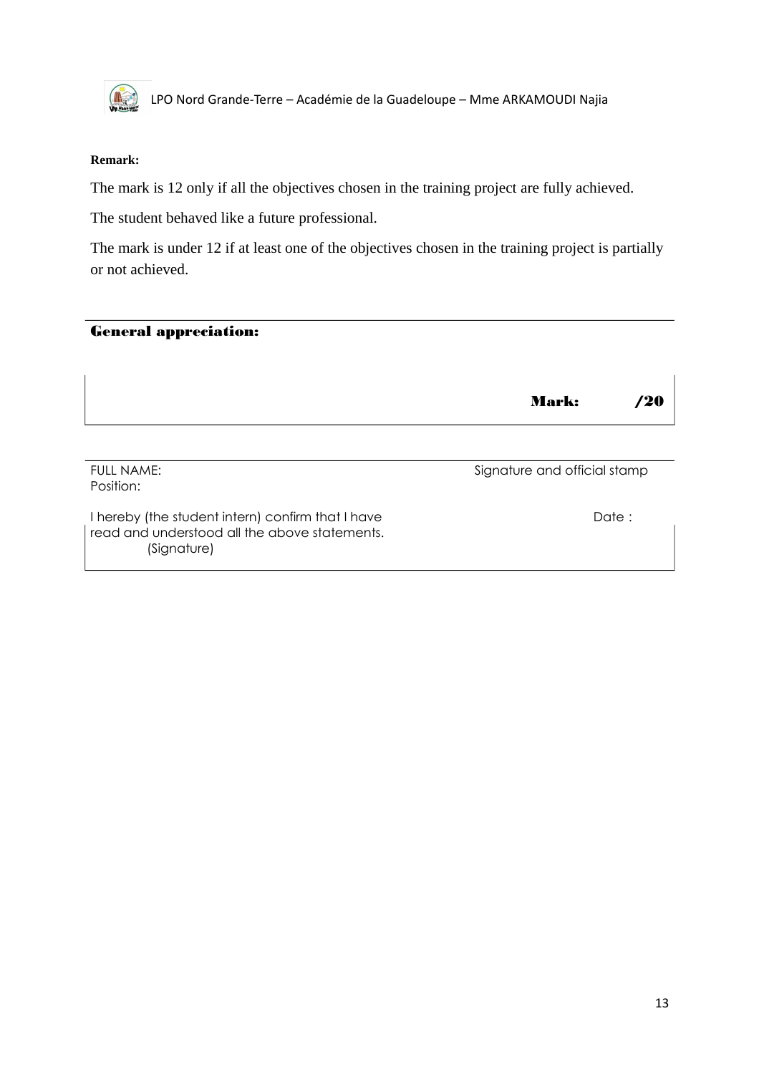

#### **Remark:**

The mark is 12 only if all the objectives chosen in the training project are fully achieved.

The student behaved like a future professional.

The mark is under 12 if at least one of the objectives chosen in the training project is partially or not achieved.

### General appreciation:

|                                                                                                                   | <b>Mark:</b>                 | '20    |
|-------------------------------------------------------------------------------------------------------------------|------------------------------|--------|
| <b>FULL NAME:</b><br>Position:                                                                                    | Signature and official stamp |        |
| I hereby (the student intern) confirm that I have<br>read and understood all the above statements.<br>(Signature) |                              | Date : |